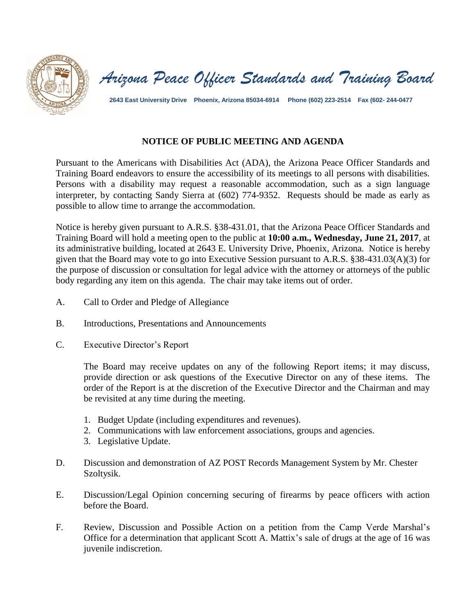

*Arizona Peace Officer Standards and Training Board*

**2643 East University Drive Phoenix, Arizona 85034-6914 Phone (602) 223-2514 Fax (602- 244-0477**

## **NOTICE OF PUBLIC MEETING AND AGENDA**

Pursuant to the Americans with Disabilities Act (ADA), the Arizona Peace Officer Standards and Training Board endeavors to ensure the accessibility of its meetings to all persons with disabilities. Persons with a disability may request a reasonable accommodation, such as a sign language interpreter, by contacting Sandy Sierra at (602) 774-9352. Requests should be made as early as possible to allow time to arrange the accommodation.

Notice is hereby given pursuant to A.R.S. §38-431.01, that the Arizona Peace Officer Standards and Training Board will hold a meeting open to the public at **10:00 a.m., Wednesday, June 21, 2017**, at its administrative building, located at 2643 E. University Drive, Phoenix, Arizona. Notice is hereby given that the Board may vote to go into Executive Session pursuant to A.R.S. §38-431.03(A)(3) for the purpose of discussion or consultation for legal advice with the attorney or attorneys of the public body regarding any item on this agenda. The chair may take items out of order.

- A. Call to Order and Pledge of Allegiance
- B. Introductions, Presentations and Announcements
- C. Executive Director's Report

The Board may receive updates on any of the following Report items; it may discuss, provide direction or ask questions of the Executive Director on any of these items. The order of the Report is at the discretion of the Executive Director and the Chairman and may be revisited at any time during the meeting.

- 1. Budget Update (including expenditures and revenues).
- 2. Communications with law enforcement associations, groups and agencies.
- 3. Legislative Update.
- D. Discussion and demonstration of AZ POST Records Management System by Mr. Chester Szoltysik.
- E. Discussion/Legal Opinion concerning securing of firearms by peace officers with action before the Board.
- F. Review, Discussion and Possible Action on a petition from the Camp Verde Marshal's Office for a determination that applicant Scott A. Mattix's sale of drugs at the age of 16 was juvenile indiscretion.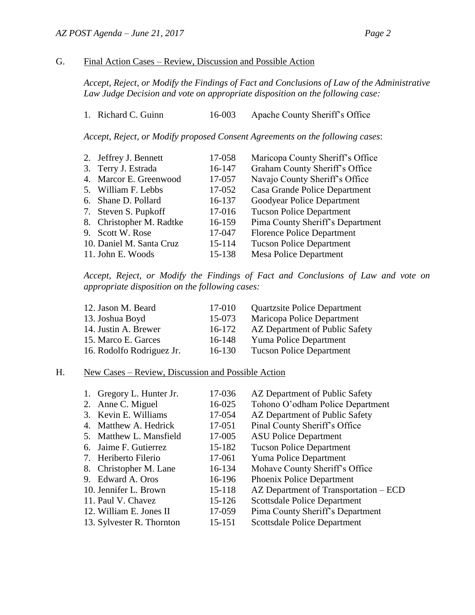## G. Final Action Cases – Review, Discussion and Possible Action

*Accept, Reject, or Modify the Findings of Fact and Conclusions of Law of the Administrative Law Judge Decision and vote on appropriate disposition on the following case:*

|  | 1. Richard C. Guinn |  | 16-003 |  |  | Apache County Sheriff's Office |  |
|--|---------------------|--|--------|--|--|--------------------------------|--|
|--|---------------------|--|--------|--|--|--------------------------------|--|

*Accept, Reject, or Modify proposed Consent Agreements on the following cases*:

| 2. Jeffrey J. Bennett    | 17-058 | Maricopa County Sheriff's Office  |
|--------------------------|--------|-----------------------------------|
| 3. Terry J. Estrada      | 16-147 | Graham County Sheriff's Office    |
| 4. Marcor E. Greenwood   | 17-057 | Navajo County Sheriff's Office    |
| 5. William F. Lebbs      | 17-052 | Casa Grande Police Department     |
| 6. Shane D. Pollard      | 16-137 | Goodyear Police Department        |
| 7. Steven S. Pupkoff     | 17-016 | <b>Tucson Police Department</b>   |
| 8. Christopher M. Radtke | 16-159 | Pima County Sheriff's Department  |
| 9. Scott W. Rose         | 17-047 | <b>Florence Police Department</b> |
| 10. Daniel M. Santa Cruz | 15-114 | <b>Tucson Police Department</b>   |
| 11. John E. Woods        | 15-138 | <b>Mesa Police Department</b>     |

*Accept, Reject, or Modify the Findings of Fact and Conclusions of Law and vote on appropriate disposition on the following cases:*

| 17-010   | <b>Quartzsite Police Department</b> |
|----------|-------------------------------------|
| 15-073   | Maricopa Police Department          |
| 16-172   | AZ Department of Public Safety      |
| 16-148   | <b>Yuma Police Department</b>       |
| $16-130$ | <b>Tucson Police Department</b>     |
|          |                                     |

## H. New Cases – Review, Discussion and Possible Action

| 1. Gregory L. Hunter Jr.  | 17-036 | AZ Department of Public Safety        |
|---------------------------|--------|---------------------------------------|
| 2. Anne C. Miguel         | 16-025 | Tohono O'odham Police Department      |
| 3. Kevin E. Williams      | 17-054 | AZ Department of Public Safety        |
| 4. Matthew A. Hedrick     | 17-051 | Pinal County Sheriff's Office         |
| 5. Matthew L. Mansfield   | 17-005 | <b>ASU Police Department</b>          |
| 6. Jaime F. Gutierrez     | 15-182 | <b>Tucson Police Department</b>       |
| 7. Heriberto Filerio      | 17-061 | Yuma Police Department                |
| 8. Christopher M. Lane    | 16-134 | Mohave County Sheriff's Office        |
| 9. Edward A. Oros         | 16-196 | Phoenix Police Department             |
| 10. Jennifer L. Brown     | 15-118 | AZ Department of Transportation – ECD |
| 11. Paul V. Chavez        | 15-126 | <b>Scottsdale Police Department</b>   |
| 12. William E. Jones II   | 17-059 | Pima County Sheriff's Department      |
| 13. Sylvester R. Thornton | 15-151 | <b>Scottsdale Police Department</b>   |